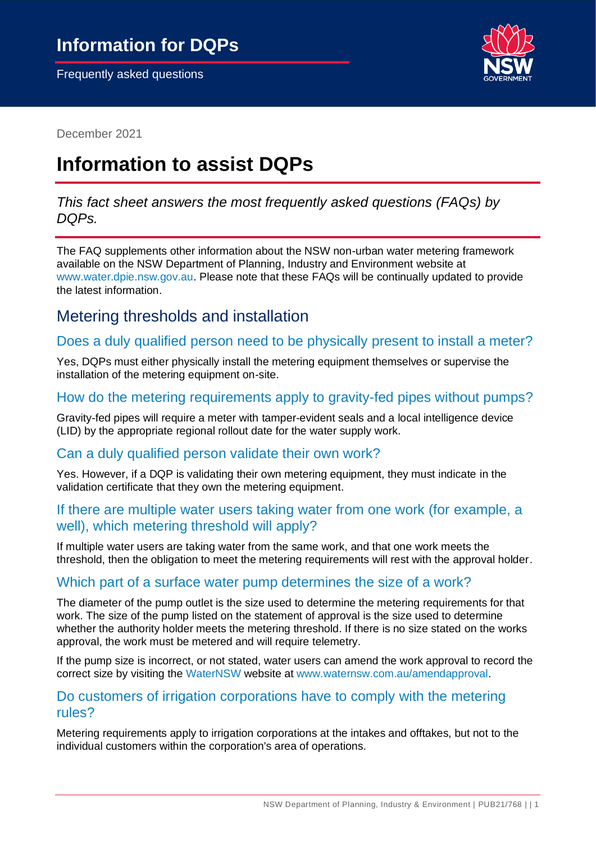

December 2021

# **Information to assist DQPs**

*This fact sheet answers the most frequently asked questions (FAQs) by DQPs.*

The FAQ supplements other information about the NSW non-urban water metering framework available on the NSW Department of Planning, Industry and Environment website at [www.water.dpie.nsw.gov.au.](https://water.dpie.nsw.gov.au/) Please note that these FAQs will be continually updated to provide the latest information.

## Metering thresholds and installation

## Does a duly qualified person need to be physically present to install a meter?

Yes, DQPs must either physically install the metering equipment themselves or supervise the installation of the metering equipment on-site.

## How do the metering requirements apply to gravity-fed pipes without pumps?

Gravity-fed pipes will require a meter with tamper-evident seals and a local intelligence device (LID) by the appropriate regional rollout date for the water supply work.

#### Can a duly qualified person validate their own work?

Yes. However, if a DQP is validating their own metering equipment, they must indicate in the validation certificate that they own the metering equipment.

#### If there are multiple water users taking water from one work (for example, a well), which metering threshold will apply?

If multiple water users are taking water from the same work, and that one work meets the threshold, then the obligation to meet the metering requirements will rest with the approval holder.

## Which part of a surface water pump determines the size of a work?

The diameter of the pump outlet is the size used to determine the metering requirements for that work. The size of the pump listed on the statement of approval is the size used to determine whether the authority holder meets the metering threshold. If there is no size stated on the works approval, the work must be metered and will require telemetry.

If the pump size is incorrect, or not stated, water users can amend the work approval to record the correct size by visiting the [WaterNSW w](https://www.waternsw.com.au/customer-service/water-licensing/approvals/amend-an-approval)ebsite at [www.waternsw.com.au/amendapproval.](http://www.waternsw.com.au/amendapproval)

#### Do customers of irrigation corporations have to comply with the metering rules?

Metering requirements apply to irrigation corporations at the intakes and offtakes, but not to the individual customers within the corporation's area of operations.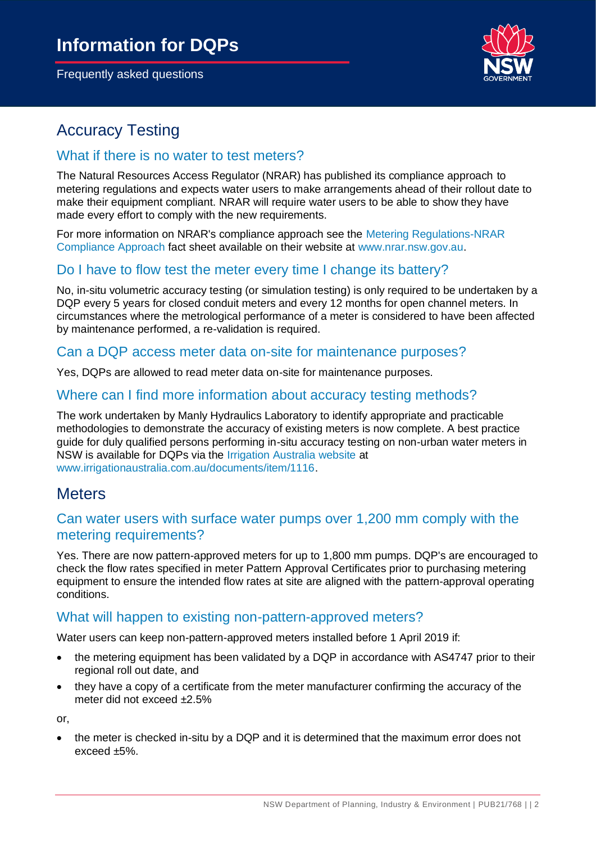

## Accuracy Testing

#### What if there is no water to test meters?

The Natural Resources Access Regulator (NRAR) has published its compliance approach to metering regulations and expects water users to make arrangements ahead of their rollout date to make their equipment compliant. NRAR will require water users to be able to show they have made every effort to comply with the new requirements.

For more information on NRAR's compliance approach see the [Metering Regulations-NRAR](https://www.irrigationaustralia.com.au/documents/item/1218)  [Compliance Approach f](https://www.irrigationaustralia.com.au/documents/item/1218)act sheet available on their website at [www.nrar.nsw.gov.au.](http://www.nrar.nsw.gov.au/)

## Do I have to flow test the meter every time I change its battery?

No, in-situ volumetric accuracy testing (or simulation testing) is only required to be undertaken by a DQP every 5 years for closed conduit meters and every 12 months for open channel meters. In circumstances where the metrological performance of a meter is considered to have been affected by maintenance performed, a re-validation is required.

#### Can a DQP access meter data on-site for maintenance purposes?

Yes, DQPs are allowed to read meter data on-site for maintenance purposes.

## Where can I find more information about accuracy testing methods?

The work undertaken by Manly Hydraulics Laboratory to identify appropriate and practicable methodologies to demonstrate the accuracy of existing meters is now complete. A best practice guide for duly qualified persons performing in-situ accuracy testing on non-urban water meters in NSW is available for DQPs via the [Irrigation Australia website a](https://www.irrigationaustralia.com.au/documents/item/1137)t [www.irrigationaustralia.com.au/documents/item/1116.](file:///C:/Users/somersg/AppData/Local/Microsoft/Windows/INetCache/Content.Outlook/SCBHY82Q/www.irrigationaustralia.com.au/documents/item/1116)

## **Meters**

## Can water users with surface water pumps over 1,200 mm comply with the metering requirements?

Yes. There are now pattern-approved meters for up to 1,800 mm pumps. DQP's are encouraged to check the flow rates specified in meter Pattern Approval Certificates prior to purchasing metering equipment to ensure the intended flow rates at site are aligned with the pattern-approval operating conditions.

#### What will happen to existing non-pattern-approved meters?

Water users can keep non-pattern-approved meters installed before 1 April 2019 if:

- the metering equipment has been validated by a DQP in accordance with AS4747 prior to their regional roll out date, and
- they have a copy of a certificate from the meter manufacturer confirming the accuracy of the meter did not exceed ±2.5%

or,

• the meter is checked in-situ by a DQP and it is determined that the maximum error does not exceed ±5%.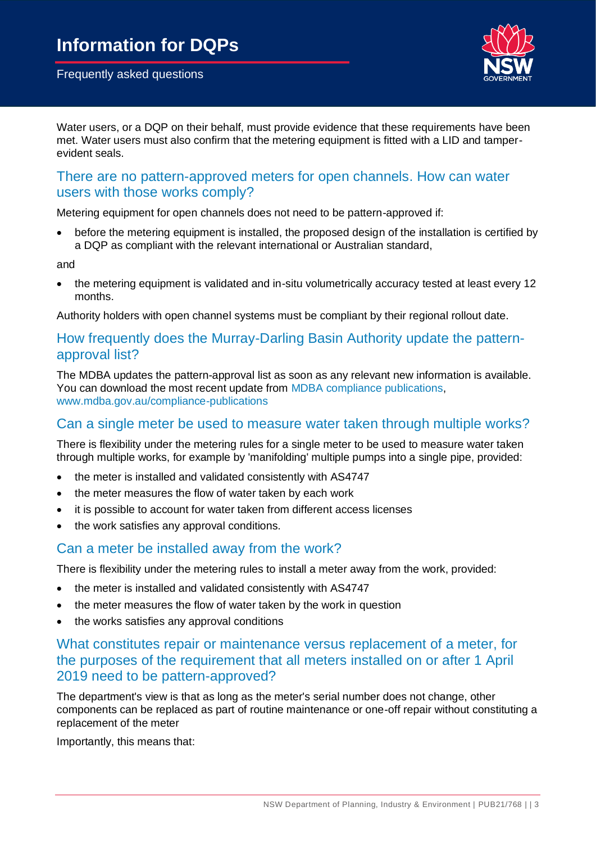

Water users, or a DQP on their behalf, must provide evidence that these requirements have been met. Water users must also confirm that the metering equipment is fitted with a LID and tamperevident seals.

## There are no pattern-approved meters for open channels. How can water users with those works comply?

Metering equipment for open channels does not need to be pattern-approved if:

• before the metering equipment is installed, the proposed design of the installation is certified by a DQP as compliant with the relevant international or Australian standard,

and

• the metering equipment is validated and in-situ volumetrically accuracy tested at least every 12 months.

Authority holders with open channel systems must be compliant by their regional rollout date.

## How frequently does the Murray-Darling Basin Authority update the patternapproval list?

The MDBA updates the pattern-approval list as soon as any relevant new information is available. You can download the most recent update from [MDBA compliance publications,](https://www.mdba.gov.au/compliance-publications) [www.mdba.gov.au/compliance-publications](https://www.mdba.gov.au/compliance-publications)

#### Can a single meter be used to measure water taken through multiple works?

There is flexibility under the metering rules for a single meter to be used to measure water taken through multiple works, for example by 'manifolding' multiple pumps into a single pipe, provided:

- the meter is installed and validated consistently with AS4747
- the meter measures the flow of water taken by each work
- it is possible to account for water taken from different access licenses
- the work satisfies any approval conditions.

#### Can a meter be installed away from the work?

There is flexibility under the metering rules to install a meter away from the work, provided:

- the meter is installed and validated consistently with AS4747
- the meter measures the flow of water taken by the work in question
- the works satisfies any approval conditions

## What constitutes repair or maintenance versus replacement of a meter, for the purposes of the requirement that all meters installed on or after 1 April 2019 need to be pattern-approved?

The department's view is that as long as the meter's serial number does not change, other components can be replaced as part of routine maintenance or one-off repair without constituting a replacement of the meter

Importantly, this means that: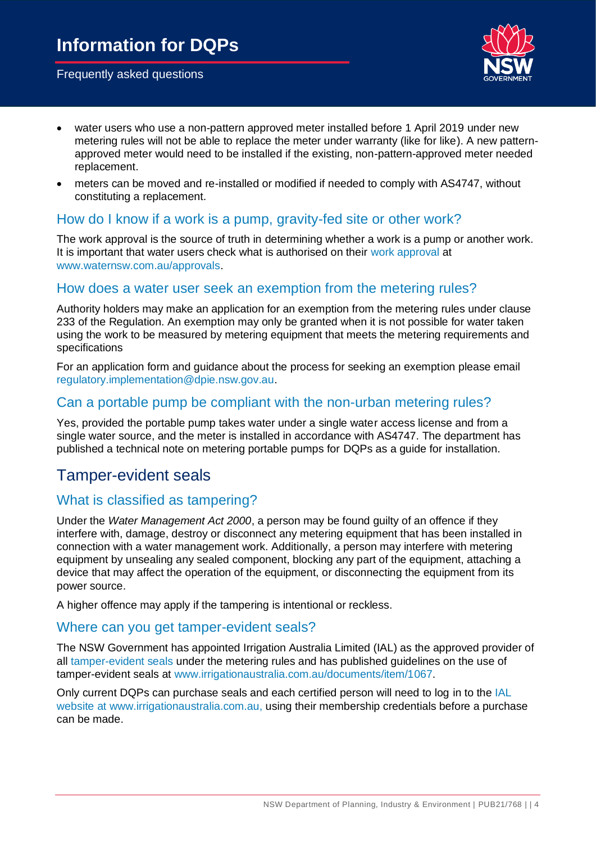

- water users who use a non-pattern approved meter installed before 1 April 2019 under new metering rules will not be able to replace the meter under warranty (like for like). A new patternapproved meter would need to be installed if the existing, non-pattern-approved meter needed replacement.
- meters can be moved and re-installed or modified if needed to comply with AS4747, without constituting a replacement.

## How do I know if a work is a pump, gravity-fed site or other work?

The work approval is the source of truth in determining whether a work is a pump or another work. It is important that water users check what is authorised on their [work approval a](https://www.waternsw.com.au/customer-service/water-licensing/approvals/water-supply-work-and-use-approvals)t [www.waternsw.com.au/approvals.](http://www.waternsw.com.au/approvals)

## How does a water user seek an exemption from the metering rules?

Authority holders may make an application for an exemption from the metering rules under clause 233 of the Regulation. An exemption may only be granted when it is not possible for water taken using the work to be measured by metering equipment that meets the metering requirements and specifications

For an application form and guidance about the process for seeking an exemption please email [regulatory.implementation@dpie.nsw.gov.au.](mailto:regulatory.implementation@dpie.nsw.gov.au)

## Can a portable pump be compliant with the non-urban metering rules?

Yes, provided the portable pump takes water under a single water access license and from a single water source, and the meter is installed in accordance with AS4747. The department has published a technical note on metering portable pumps for DQPs as a guide for installation.

## Tamper-evident seals

## What is classified as tampering?

Under the *Water Management Act 2000*, a person may be found guilty of an offence if they interfere with, damage, destroy or disconnect any metering equipment that has been installed in connection with a water management work. Additionally, a person may interfere with metering equipment by unsealing any sealed component, blocking any part of the equipment, attaching a device that may affect the operation of the equipment, or disconnecting the equipment from its power source.

A higher offence may apply if the tampering is intentional or reckless.

#### Where can you get tamper-evident seals?

The NSW Government has appointed Irrigation Australia Limited (IAL) as the approved provider of all [tamper-evident seals](https://www.irrigationaustralia.com.au/documents/item/1067) under the metering rules and has published guidelines on the use of tamper-evident seals at [www.irrigationaustralia.com.au/documents/item/1067.](http://www.irrigationaustralia.com.au/documents/item/1067)

Only current DQPs can purchase seals and each certified person will need to log in to the IAL [website a](https://www.irrigationaustralia.com.au/documents/item/1067)t [www.irrigationaustralia.com.au,](http://www.irrigationaustralia.com.au/) using their membership credentials before a purchase can be made.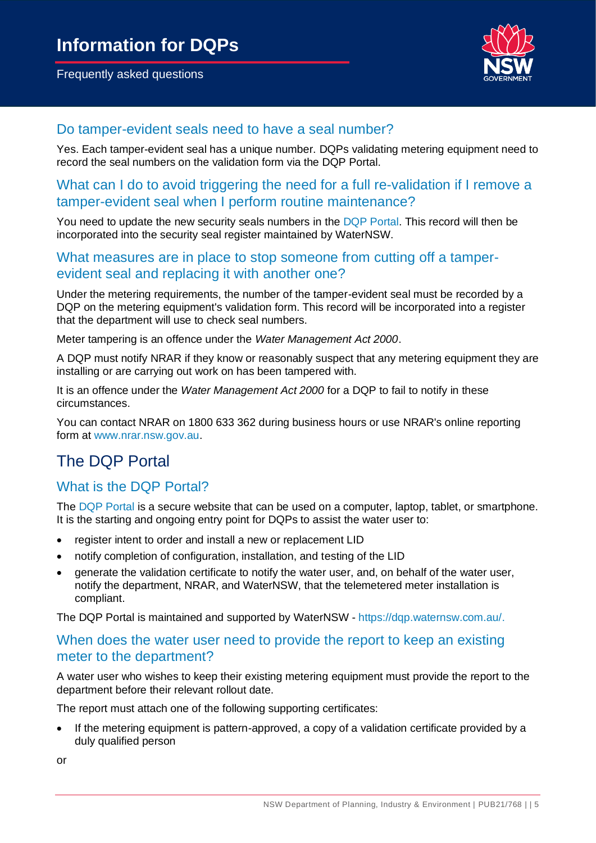

## Do tamper-evident seals need to have a seal number?

Yes. Each tamper-evident seal has a unique number. DQPs validating metering equipment need to record the seal numbers on the validation form via the DQP Portal.

## What can I do to avoid triggering the need for a full re-validation if I remove a tamper-evident seal when I perform routine maintenance?

You need to update the new security seals numbers in the [DQP Portal.](https://dqp.waternsw.com.au/Help) This record will then be incorporated into the security seal register maintained by WaterNSW.

## What measures are in place to stop someone from cutting off a tamperevident seal and replacing it with another one?

Under the metering requirements, the number of the tamper-evident seal must be recorded by a DQP on the metering equipment's validation form. This record will be incorporated into a register that the department will use to check seal numbers.

Meter tampering is an offence under the *Water Management Act 2000*.

A DQP must notify NRAR if they know or reasonably suspect that any metering equipment they are installing or are carrying out work on has been tampered with.

It is an offence under the *Water Management Act 2000* for a DQP to fail to notify in these circumstances.

You can contact NRAR on 1800 633 362 during business hours or use NRAR's online reporting form at [www.nrar.nsw.gov.au.](http://www.nrar.nsw.gov.au/)

## The DQP Portal

## What is the DQP Portal?

The [DQP Portal](https://dqp.waternsw.com.au/Help) is a secure website that can be used on a computer, laptop, tablet, or smartphone. It is the starting and ongoing entry point for DQPs to assist the water user to:

- register intent to order and install a new or replacement LID
- notify completion of configuration, installation, and testing of the LID
- generate the validation certificate to notify the water user, and, on behalf of the water user, notify the department, NRAR, and WaterNSW, that the telemetered meter installation is compliant.

The DQP Portal is maintained and supported by WaterNSW - [https://dqp.waternsw.com.au/.](https://dqp.waternsw.com.au/)

## When does the water user need to provide the report to keep an existing meter to the department?

A water user who wishes to keep their existing metering equipment must provide the report to the department before their relevant rollout date.

The report must attach one of the following supporting certificates:

• If the metering equipment is pattern-approved, a copy of a validation certificate provided by a duly qualified person

or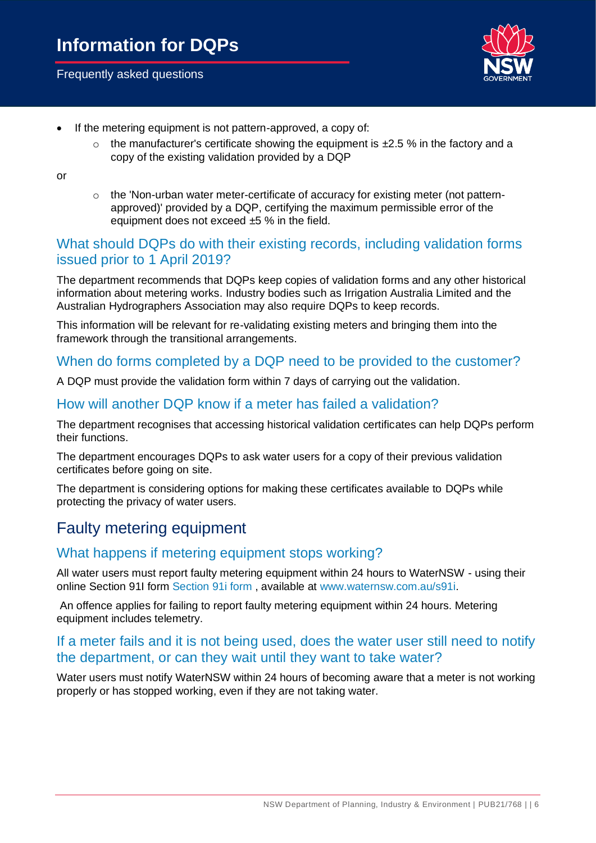

- If the metering equipment is not pattern-approved, a copy of:
	- $\circ$  the manufacturer's certificate showing the equipment is  $\pm 2.5$  % in the factory and a copy of the existing validation provided by a DQP

or

o the 'Non-urban water meter-certificate of accuracy for existing meter (not patternapproved)' provided by a DQP, certifying the maximum permissible error of the equipment does not exceed ±5 % in the field.

## What should DQPs do with their existing records, including validation forms issued prior to 1 April 2019?

The department recommends that DQPs keep copies of validation forms and any other historical information about metering works. Industry bodies such as Irrigation Australia Limited and the Australian Hydrographers Association may also require DQPs to keep records.

This information will be relevant for re-validating existing meters and bringing them into the framework through the transitional arrangements.

## When do forms completed by a DQP need to be provided to the customer?

A DQP must provide the validation form within 7 days of carrying out the validation.

## How will another DQP know if a meter has failed a validation?

The department recognises that accessing historical validation certificates can help DQPs perform their functions.

The department encourages DQPs to ask water users for a copy of their previous validation certificates before going on site.

The department is considering options for making these certificates available to DQPs while protecting the privacy of water users.

## Faulty metering equipment

## What happens if metering equipment stops working?

All water users must report faulty metering equipment within 24 hours to WaterNSW - using their online Section 91I form [Section 91i form ,](file:///C:/Users/somersg/AppData/Local/Microsoft/Windows/INetCache/Content.Outlook/SCBHY82Q/Section%2091i%20form) available at [www.waternsw.com.au/s91i.](http://www.waternsw.com.au/s91i)

An offence applies for failing to report faulty metering equipment within 24 hours. Metering equipment includes telemetry.

## If a meter fails and it is not being used, does the water user still need to notify the department, or can they wait until they want to take water?

Water users must notify WaterNSW within 24 hours of becoming aware that a meter is not working properly or has stopped working, even if they are not taking water.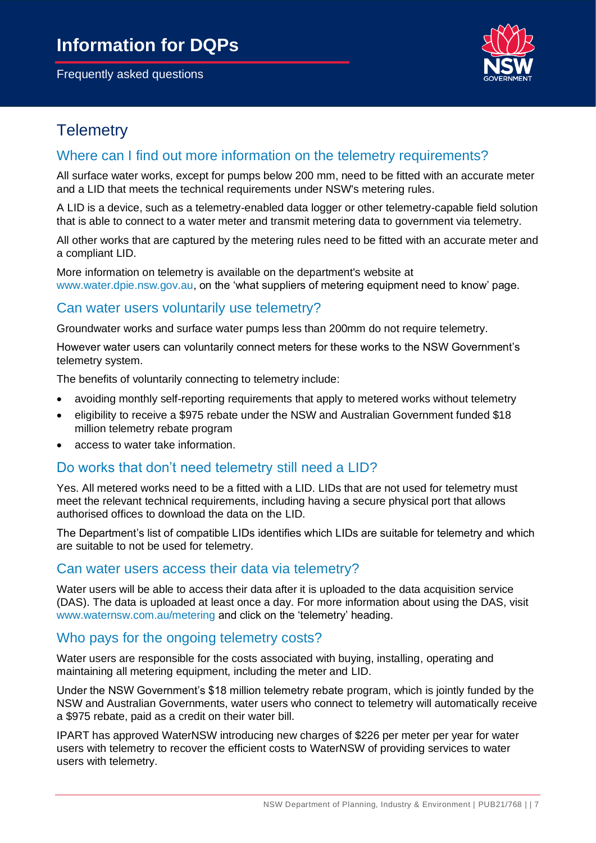

## **Telemetry**

## Where can I find out more information on the telemetry requirements?

All surface water works, except for pumps below 200 mm, need to be fitted with an accurate meter and a LID that meets the technical requirements under NSW's metering rules.

A LID is a device, such as a telemetry-enabled data logger or other telemetry-capable field solution that is able to connect to a water meter and transmit metering data to government via telemetry.

All other works that are captured by the metering rules need to be fitted with an accurate meter and a compliant LID.

More information on telemetry is available on the department's website at [www.water.dpie.nsw.gov.au,](https://water.dpie.nsw.gov.au/) on the 'what suppliers of metering equipment need to know' page.

## Can water users voluntarily use telemetry?

Groundwater works and surface water pumps less than 200mm do not require telemetry.

However water users can voluntarily connect meters for these works to the NSW Government's telemetry system.

The benefits of voluntarily connecting to telemetry include:

- avoiding monthly self-reporting requirements that apply to metered works without telemetry
- eligibility to receive a \$975 rebate under the NSW and Australian Government funded \$18 million telemetry rebate program
- access to water take information.

#### Do works that don't need telemetry still need a LID?

Yes. All metered works need to be a fitted with a LID. LIDs that are not used for telemetry must meet the relevant technical requirements, including having a secure physical port that allows authorised offices to download the data on the LID.

The Department's list of compatible LIDs identifies which LIDs are suitable for telemetry and which are suitable to not be used for telemetry.

#### Can water users access their data via telemetry?

Water users will be able to access their data after it is uploaded to the data acquisition service (DAS). The data is uploaded at least once a day. For more information about using the DAS, visit [www.waternsw.com.au/metering](http://www.waternsw.com.au/metering) and click on the 'telemetry' heading.

#### Who pays for the ongoing telemetry costs?

Water users are responsible for the costs associated with buying, installing, operating and maintaining all metering equipment, including the meter and LID.

Under the NSW Government's \$18 million telemetry rebate program, which is jointly funded by the NSW and Australian Governments, water users who connect to telemetry will automatically receive a \$975 rebate, paid as a credit on their water bill.

IPART has approved WaterNSW introducing new charges of \$226 per meter per year for water users with telemetry to recover the efficient costs to WaterNSW of providing services to water users with telemetry.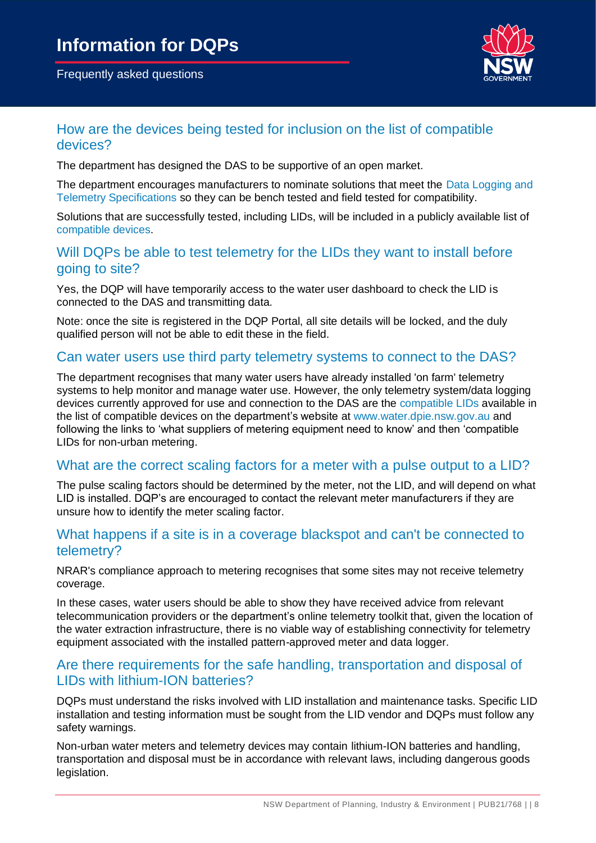

## How are the devices being tested for inclusion on the list of compatible devices?

The department has designed the DAS to be supportive of an open market.

The department encourages manufacturers to nominate solutions that meet the [Data Logging and](https://gazette.legislation.nsw.gov.au/so/download.w3p?id=Gazette_2021_2021-164.pdf)  [Telemetry Specifications s](https://gazette.legislation.nsw.gov.au/so/download.w3p?id=Gazette_2021_2021-164.pdf)o they can be bench tested and field tested for compatibility.

Solutions that are successfully tested, including LIDs, will be included in a publicly available list of [compatible devices.](https://water.dpie.nsw.gov.au/nsw-non-urban-water-metering/what-suppliers-of-metering-equipment-need-to-know/non-urban-metering)

## Will DQPs be able to test telemetry for the LIDs they want to install before going to site?

Yes, the DQP will have temporarily access to the water user dashboard to check the LID is connected to the DAS and transmitting data.

Note: once the site is registered in the DQP Portal, all site details will be locked, and the duly qualified person will not be able to edit these in the field.

## Can water users use third party telemetry systems to connect to the DAS?

The department recognises that many water users have already installed 'on farm' telemetry systems to help monitor and manage water use. However, the only telemetry system/data logging devices currently approved for use and connection to the DAS are the [compatible](https://water.dpie.nsw.gov.au/nsw-non-urban-water-metering/what-suppliers-of-metering-equipment-need-to-know/non-urban-metering) LIDs available in the list of compatible devices on the department's website at [www.water.dpie.nsw.gov.au](https://water.dpie.nsw.gov.au/) and following the links to 'what suppliers of metering equipment need to know' and then 'compatible LIDs for non-urban metering.

## What are the correct scaling factors for a meter with a pulse output to a LID?

The pulse scaling factors should be determined by the meter, not the LID, and will depend on what LID is installed. DQP's are encouraged to contact the relevant meter manufacturers if they are unsure how to identify the meter scaling factor.

## What happens if a site is in a coverage blackspot and can't be connected to telemetry?

NRAR's compliance approach to metering recognises that some sites may not receive telemetry coverage.

In these cases, water users should be able to show they have received advice from relevant telecommunication providers or the department's online telemetry toolkit that, given the location of the water extraction infrastructure, there is no viable way of establishing connectivity for telemetry equipment associated with the installed pattern-approved meter and data logger.

## Are there requirements for the safe handling, transportation and disposal of LIDs with lithium-ION batteries?

DQPs must understand the risks involved with LID installation and maintenance tasks. Specific LID installation and testing information must be sought from the LID vendor and DQPs must follow any safety warnings.

Non-urban water meters and telemetry devices may contain lithium-ION batteries and handling, transportation and disposal must be in accordance with relevant laws, including dangerous goods legislation.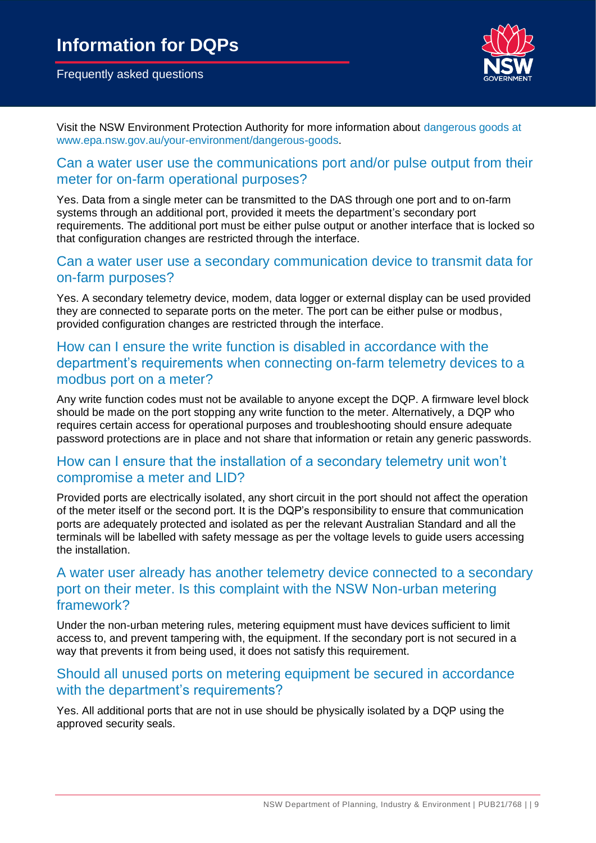

Visit the NSW Environment Protection Authority for more information about [dangerous goods](https://www.epa.nsw.gov.au/your-environment/dangerous-goods) at [www.epa.nsw.gov.au/your-environment/dangerous-goods.](http://www.epa.nsw.gov.au/your-environment/dangerous-goods)

#### Can a water user use the communications port and/or pulse output from their meter for on-farm operational purposes?

Yes. Data from a single meter can be transmitted to the DAS through one port and to on-farm systems through an additional port, provided it meets the department's secondary port requirements. The additional port must be either pulse output or another interface that is locked so that configuration changes are restricted through the interface.

#### Can a water user use a secondary communication device to transmit data for on-farm purposes?

Yes. A secondary telemetry device, modem, data logger or external display can be used provided they are connected to separate ports on the meter. The port can be either pulse or modbus, provided configuration changes are restricted through the interface.

## How can I ensure the write function is disabled in accordance with the department's requirements when connecting on-farm telemetry devices to a modbus port on a meter?

Any write function codes must not be available to anyone except the DQP. A firmware level block should be made on the port stopping any write function to the meter. Alternatively, a DQP who requires certain access for operational purposes and troubleshooting should ensure adequate password protections are in place and not share that information or retain any generic passwords.

## How can I ensure that the installation of a secondary telemetry unit won't compromise a meter and LID?

Provided ports are electrically isolated, any short circuit in the port should not affect the operation of the meter itself or the second port. It is the DQP's responsibility to ensure that communication ports are adequately protected and isolated as per the relevant Australian Standard and all the terminals will be labelled with safety message as per the voltage levels to guide users accessing the installation.

## A water user already has another telemetry device connected to a secondary port on their meter. Is this complaint with the NSW Non-urban metering framework?

Under the non-urban metering rules, metering equipment must have devices sufficient to limit access to, and prevent tampering with, the equipment. If the secondary port is not secured in a way that prevents it from being used, it does not satisfy this requirement.

## Should all unused ports on metering equipment be secured in accordance with the department's requirements?

Yes. All additional ports that are not in use should be physically isolated by a DQP using the approved security seals.